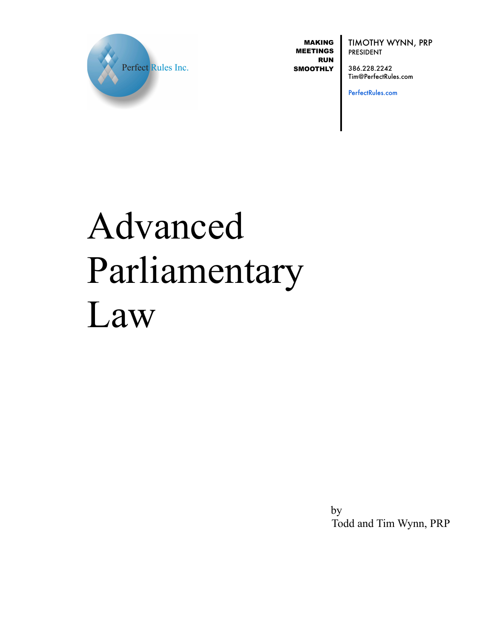

MAKING MEETINGS RUN **SMOOTHLY**  TIMOTHY WYNN, PRP PRESIDENT

386.228.2242 Tim@PerfectRules.com

PerfectRules.com

# Advanced Parliamentary Law

 by Todd and Tim Wynn, PRP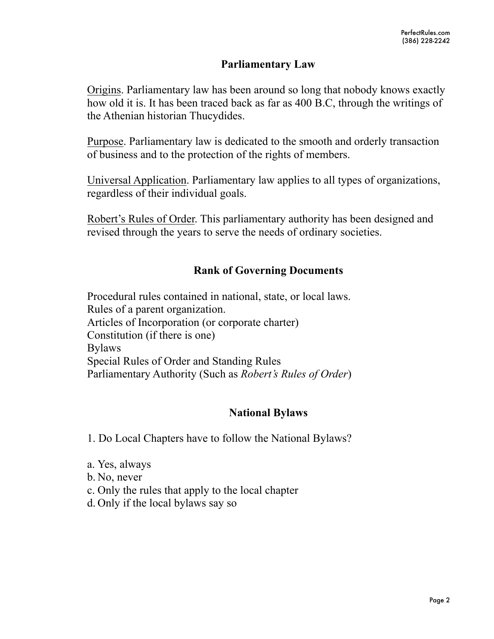# **Parliamentary Law**

Origins. Parliamentary law has been around so long that nobody knows exactly how old it is. It has been traced back as far as 400 B.C, through the writings of the Athenian historian Thucydides.

Purpose. Parliamentary law is dedicated to the smooth and orderly transaction of business and to the protection of the rights of members.

Universal Application. Parliamentary law applies to all types of organizations, regardless of their individual goals.

Robert's Rules of Order. This parliamentary authority has been designed and revised through the years to serve the needs of ordinary societies.

# **Rank of Governing Documents**

Procedural rules contained in national, state, or local laws. Rules of a parent organization. Articles of Incorporation (or corporate charter) Constitution (if there is one) Bylaws Special Rules of Order and Standing Rules Parliamentary Authority (Such as *Robert's Rules of Order*)

# **National Bylaws**

1. Do Local Chapters have to follow the National Bylaws?

- a. Yes, always
- b. No, never
- c. Only the rules that apply to the local chapter
- d. Only if the local bylaws say so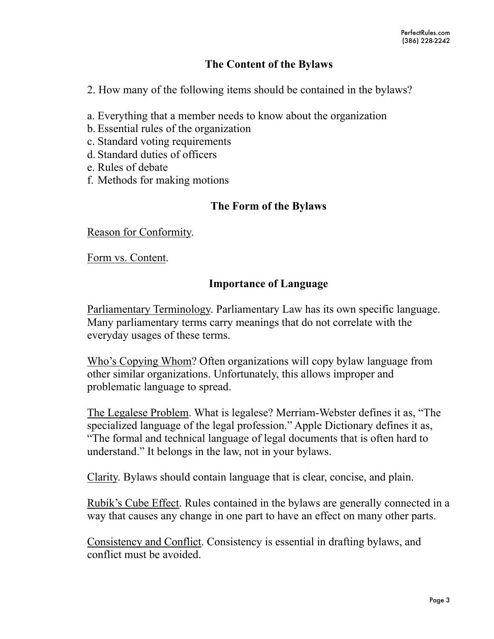# **The Content of the Bylaws**

2. How many of the following items should be contained in the bylaws?

- a. Everything that a member needs to know about the organization
- b. Essential rules of the organization
- c. Standard voting requirements
- d. Standard duties of officers
- e. Rules of debate
- f. Methods for making motions

# **The Form of the Bylaws**

Reason for Conformity.

Form vs. Content.

# **Importance of Language**

Parliamentary Terminology. Parliamentary Law has its own specific language. Many parliamentary terms carry meanings that do not correlate with the everyday usages of these terms.

Who's Copying Whom? Often organizations will copy bylaw language from other similar organizations. Unfortunately, this allows improper and problematic language to spread.

The Legalese Problem. What is legalese? Merriam-Webster defines it as, "The specialized language of the legal profession." Apple Dictionary defines it as, "The formal and technical language of legal documents that is often hard to understand." It belongs in the law, not in your bylaws.

Clarity. Bylaws should contain language that is clear, concise, and plain.

Rubik's Cube Effect. Rules contained in the bylaws are generally connected in a way that causes any change in one part to have an effect on many other parts.

Consistency and Conflict. Consistency is essential in drafting bylaws, and conflict must be avoided.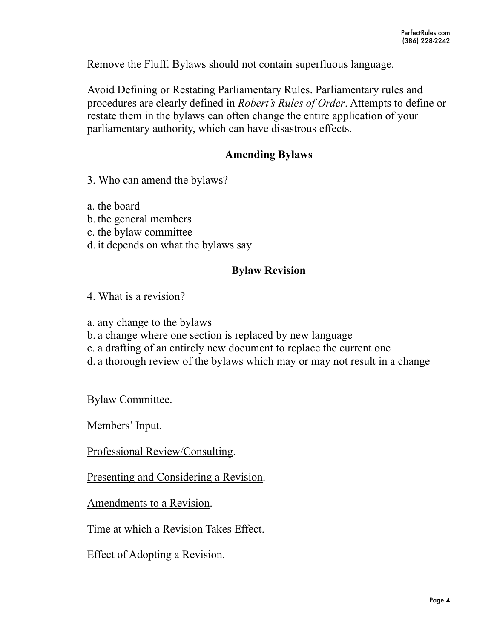Remove the Fluff. Bylaws should not contain superfluous language.

Avoid Defining or Restating Parliamentary Rules. Parliamentary rules and procedures are clearly defined in *Robert's Rules of Order*. Attempts to define or restate them in the bylaws can often change the entire application of your parliamentary authority, which can have disastrous effects.

# **Amending Bylaws**

- 3. Who can amend the bylaws?
- a. the board
- b. the general members
- c. the bylaw committee
- d. it depends on what the bylaws say

# **Bylaw Revision**

- 4. What is a revision?
- a. any change to the bylaws
- b. a change where one section is replaced by new language
- c. a drafting of an entirely new document to replace the current one
- d. a thorough review of the bylaws which may or may not result in a change

Bylaw Committee.

Members' Input.

Professional Review/Consulting.

Presenting and Considering a Revision.

Amendments to a Revision.

Time at which a Revision Takes Effect.

Effect of Adopting a Revision.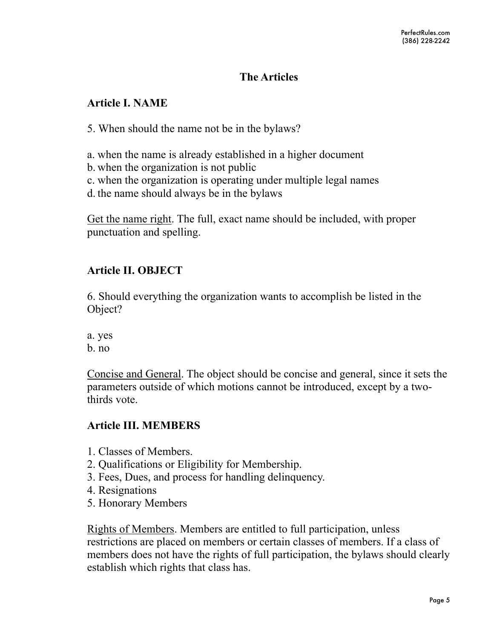# **The Articles**

# **Article I. NAME**

5. When should the name not be in the bylaws?

a. when the name is already established in a higher document

- b. when the organization is not public
- c. when the organization is operating under multiple legal names
- d. the name should always be in the bylaws

Get the name right. The full, exact name should be included, with proper punctuation and spelling.

# **Article II. OBJECT**

6. Should everything the organization wants to accomplish be listed in the Object?

a. yes

b. no

Concise and General. The object should be concise and general, since it sets the parameters outside of which motions cannot be introduced, except by a twothirds vote.

# **Article III. MEMBERS**

- 1. Classes of Members.
- 2. Qualifications or Eligibility for Membership.
- 3. Fees, Dues, and process for handling delinquency.
- 4. Resignations
- 5. Honorary Members

Rights of Members. Members are entitled to full participation, unless restrictions are placed on members or certain classes of members. If a class of members does not have the rights of full participation, the bylaws should clearly establish which rights that class has.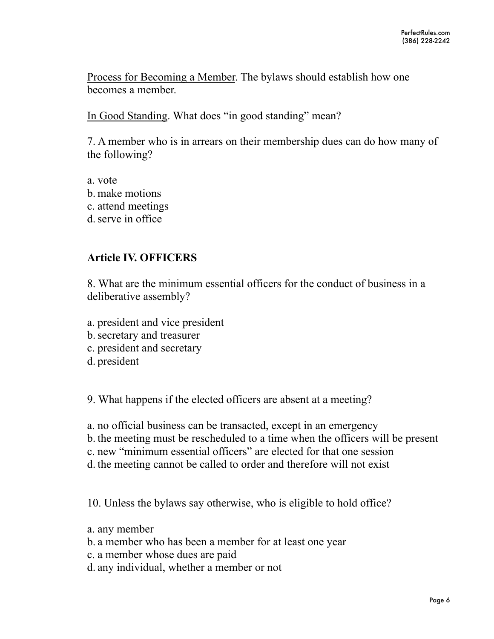Process for Becoming a Member. The bylaws should establish how one becomes a member.

In Good Standing. What does "in good standing" mean?

7. A member who is in arrears on their membership dues can do how many of the following?

a. vote b. make motions c. attend meetings d.serve in office

# **Article IV. OFFICERS**

8. What are the minimum essential officers for the conduct of business in a deliberative assembly?

- a. president and vice president
- b.secretary and treasurer
- c. president and secretary
- d. president

9. What happens if the elected officers are absent at a meeting?

- a. no official business can be transacted, except in an emergency
- b. the meeting must be rescheduled to a time when the officers will be present
- c. new "minimum essential officers" are elected for that one session
- d. the meeting cannot be called to order and therefore will not exist

10. Unless the bylaws say otherwise, who is eligible to hold office?

- a. any member
- b. a member who has been a member for at least one year
- c. a member whose dues are paid
- d. any individual, whether a member or not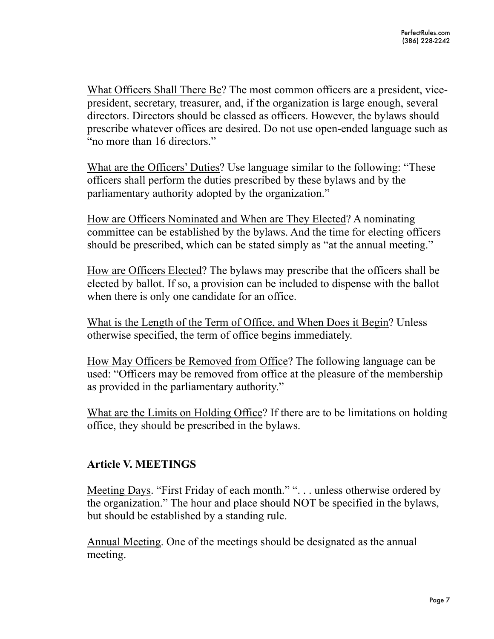What Officers Shall There Be? The most common officers are a president, vicepresident, secretary, treasurer, and, if the organization is large enough, several directors. Directors should be classed as officers. However, the bylaws should prescribe whatever offices are desired. Do not use open-ended language such as "no more than 16 directors."

What are the Officers' Duties? Use language similar to the following: "These officers shall perform the duties prescribed by these bylaws and by the parliamentary authority adopted by the organization."

How are Officers Nominated and When are They Elected? A nominating committee can be established by the bylaws. And the time for electing officers should be prescribed, which can be stated simply as "at the annual meeting."

How are Officers Elected? The bylaws may prescribe that the officers shall be elected by ballot. If so, a provision can be included to dispense with the ballot when there is only one candidate for an office.

What is the Length of the Term of Office, and When Does it Begin? Unless otherwise specified, the term of office begins immediately.

How May Officers be Removed from Office? The following language can be used: "Officers may be removed from office at the pleasure of the membership as provided in the parliamentary authority."

What are the Limits on Holding Office? If there are to be limitations on holding office, they should be prescribed in the bylaws.

# **Article V. MEETINGS**

Meeting Days. "First Friday of each month." ". . . unless otherwise ordered by the organization." The hour and place should NOT be specified in the bylaws, but should be established by a standing rule.

Annual Meeting. One of the meetings should be designated as the annual meeting.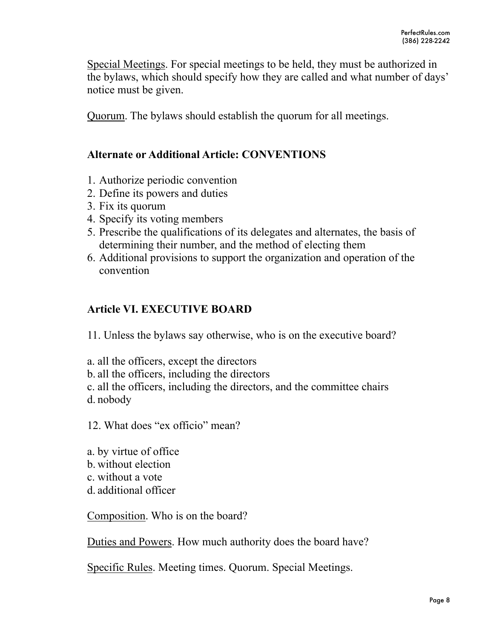Special Meetings. For special meetings to be held, they must be authorized in the bylaws, which should specify how they are called and what number of days' notice must be given.

Quorum. The bylaws should establish the quorum for all meetings.

# **Alternate or Additional Article: CONVENTIONS**

- 1. Authorize periodic convention
- 2. Define its powers and duties
- 3. Fix its quorum
- 4. Specify its voting members
- 5. Prescribe the qualifications of its delegates and alternates, the basis of determining their number, and the method of electing them
- 6. Additional provisions to support the organization and operation of the convention

# **Article VI. EXECUTIVE BOARD**

11. Unless the bylaws say otherwise, who is on the executive board?

- a. all the officers, except the directors
- b. all the officers, including the directors

c. all the officers, including the directors, and the committee chairs d. nobody

12. What does "ex officio" mean?

a. by virtue of office

- b. without election
- c. without a vote
- d. additional officer

Composition. Who is on the board?

Duties and Powers. How much authority does the board have?

Specific Rules. Meeting times. Quorum. Special Meetings.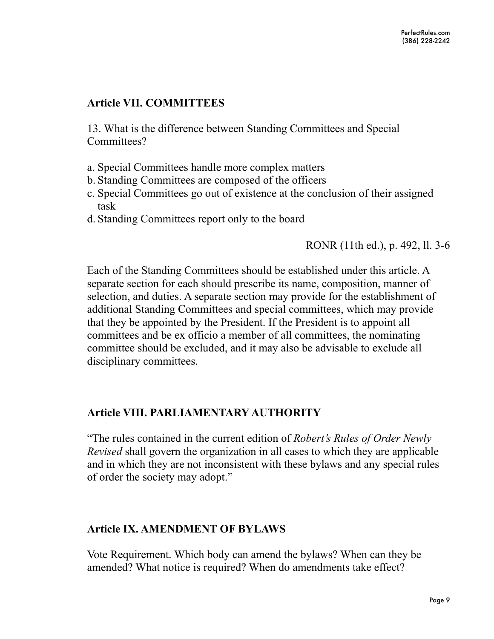# **Article VII. COMMITTEES**

13. What is the difference between Standing Committees and Special Committees?

- a. Special Committees handle more complex matters
- b. Standing Committees are composed of the officers
- c. Special Committees go out of existence at the conclusion of their assigned task
- d. Standing Committees report only to the board

# RONR (11th ed.), p. 492, ll. 3-6

Each of the Standing Committees should be established under this article. A separate section for each should prescribe its name, composition, manner of selection, and duties. A separate section may provide for the establishment of additional Standing Committees and special committees, which may provide that they be appointed by the President. If the President is to appoint all committees and be ex officio a member of all committees, the nominating committee should be excluded, and it may also be advisable to exclude all disciplinary committees.

# **Article VIII. PARLIAMENTARY AUTHORITY**

"The rules contained in the current edition of *Robert's Rules of Order Newly Revised* shall govern the organization in all cases to which they are applicable and in which they are not inconsistent with these bylaws and any special rules of order the society may adopt."

# **Article IX. AMENDMENT OF BYLAWS**

Vote Requirement. Which body can amend the bylaws? When can they be amended? What notice is required? When do amendments take effect?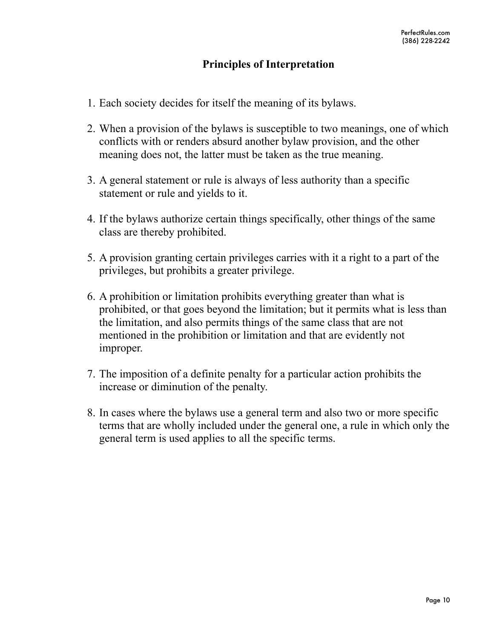# **Principles of Interpretation**

- 1. Each society decides for itself the meaning of its bylaws.
- 2. When a provision of the bylaws is susceptible to two meanings, one of which conflicts with or renders absurd another bylaw provision, and the other meaning does not, the latter must be taken as the true meaning.
- 3. A general statement or rule is always of less authority than a specific statement or rule and yields to it.
- 4. If the bylaws authorize certain things specifically, other things of the same class are thereby prohibited.
- 5. A provision granting certain privileges carries with it a right to a part of the privileges, but prohibits a greater privilege.
- 6. A prohibition or limitation prohibits everything greater than what is prohibited, or that goes beyond the limitation; but it permits what is less than the limitation, and also permits things of the same class that are not mentioned in the prohibition or limitation and that are evidently not improper.
- 7. The imposition of a definite penalty for a particular action prohibits the increase or diminution of the penalty.
- 8. In cases where the bylaws use a general term and also two or more specific terms that are wholly included under the general one, a rule in which only the general term is used applies to all the specific terms.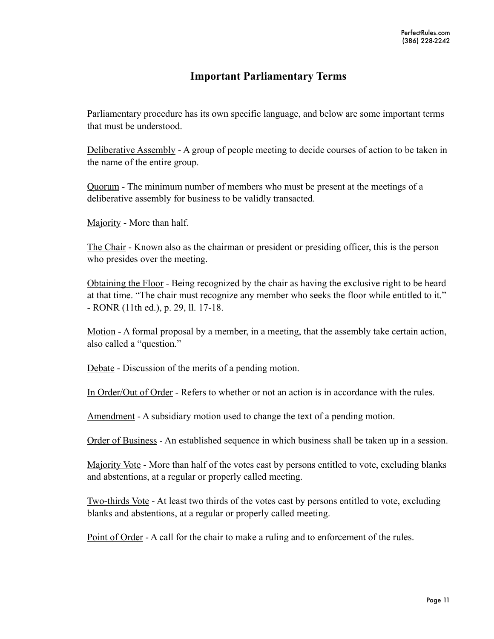# **Important Parliamentary Terms**

Parliamentary procedure has its own specific language, and below are some important terms that must be understood.

Deliberative Assembly - A group of people meeting to decide courses of action to be taken in the name of the entire group.

Quorum - The minimum number of members who must be present at the meetings of a deliberative assembly for business to be validly transacted.

Majority - More than half.

The Chair - Known also as the chairman or president or presiding officer, this is the person who presides over the meeting.

Obtaining the Floor - Being recognized by the chair as having the exclusive right to be heard at that time. "The chair must recognize any member who seeks the floor while entitled to it." - RONR (11th ed.), p. 29, ll. 17-18.

Motion - A formal proposal by a member, in a meeting, that the assembly take certain action, also called a "question."

Debate - Discussion of the merits of a pending motion.

In Order/Out of Order - Refers to whether or not an action is in accordance with the rules.

Amendment - A subsidiary motion used to change the text of a pending motion.

Order of Business - An established sequence in which business shall be taken up in a session.

Majority Vote - More than half of the votes cast by persons entitled to vote, excluding blanks and abstentions, at a regular or properly called meeting.

Two-thirds Vote - At least two thirds of the votes cast by persons entitled to vote, excluding blanks and abstentions, at a regular or properly called meeting.

Point of Order - A call for the chair to make a ruling and to enforcement of the rules.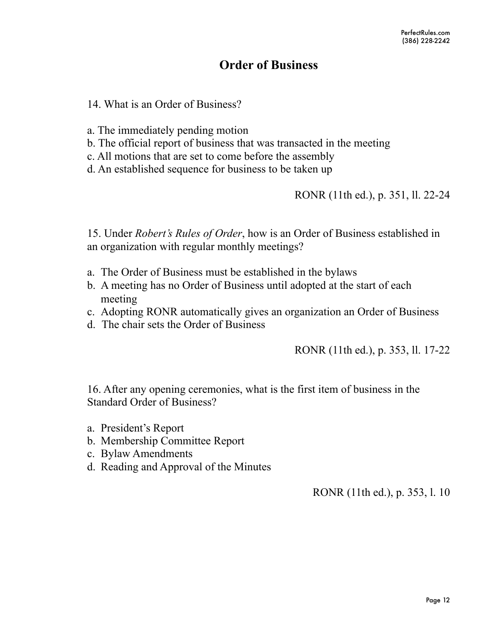# **Order of Business**

14. What is an Order of Business?

a. The immediately pending motion

- b. The official report of business that was transacted in the meeting
- c. All motions that are set to come before the assembly
- d. An established sequence for business to be taken up

RONR (11th ed.), p. 351, ll. 22-24

15. Under *Robert's Rules of Order*, how is an Order of Business established in an organization with regular monthly meetings?

- a. The Order of Business must be established in the bylaws
- b. A meeting has no Order of Business until adopted at the start of each meeting
- c. Adopting RONR automatically gives an organization an Order of Business
- d. The chair sets the Order of Business

RONR (11th ed.), p. 353, ll. 17-22

16. After any opening ceremonies, what is the first item of business in the Standard Order of Business?

- a. President's Report
- b. Membership Committee Report
- c. Bylaw Amendments
- d. Reading and Approval of the Minutes

RONR (11th ed.), p. 353, l. 10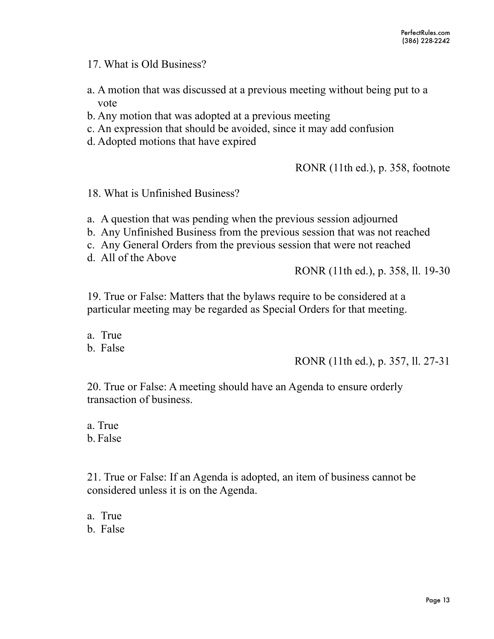17. What is Old Business?

- a. A motion that was discussed at a previous meeting without being put to a vote
- b. Any motion that was adopted at a previous meeting
- c. An expression that should be avoided, since it may add confusion
- d. Adopted motions that have expired

RONR (11th ed.), p. 358, footnote

18. What is Unfinished Business?

- a. A question that was pending when the previous session adjourned
- b. Any Unfinished Business from the previous session that was not reached
- c. Any General Orders from the previous session that were not reached
- d. All of the Above

RONR (11th ed.), p. 358, ll. 19-30

19. True or False: Matters that the bylaws require to be considered at a particular meeting may be regarded as Special Orders for that meeting.

a. True

b. False

RONR (11th ed.), p. 357, ll. 27-31

20. True or False: A meeting should have an Agenda to ensure orderly transaction of business.

a. True b. False

21. True or False: If an Agenda is adopted, an item of business cannot be considered unless it is on the Agenda.

a. True b. False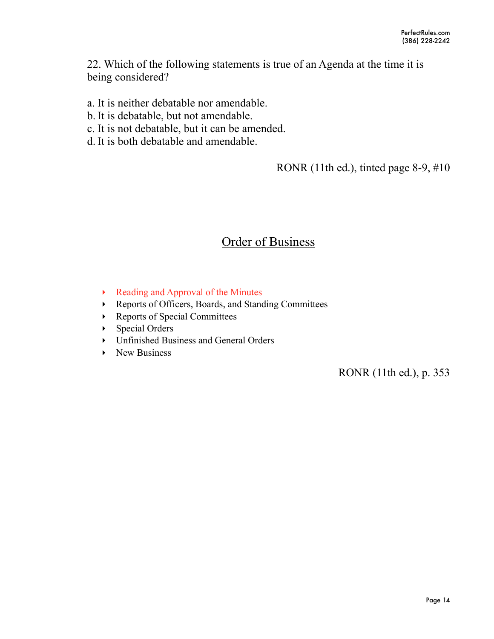22. Which of the following statements is true of an Agenda at the time it is being considered?

- a. It is neither debatable nor amendable.
- b. It is debatable, but not amendable.
- c. It is not debatable, but it can be amended.
- d. It is both debatable and amendable.

RONR (11th ed.), tinted page 8-9, #10

# **Order of Business**

- ‣ Reading and Approval of the Minutes
- ‣ Reports of Officers, Boards, and Standing Committees
- ‣ Reports of Special Committees
- ‣ Special Orders
- ‣ Unfinished Business and General Orders
- ▶ New Business

RONR (11th ed.), p. 353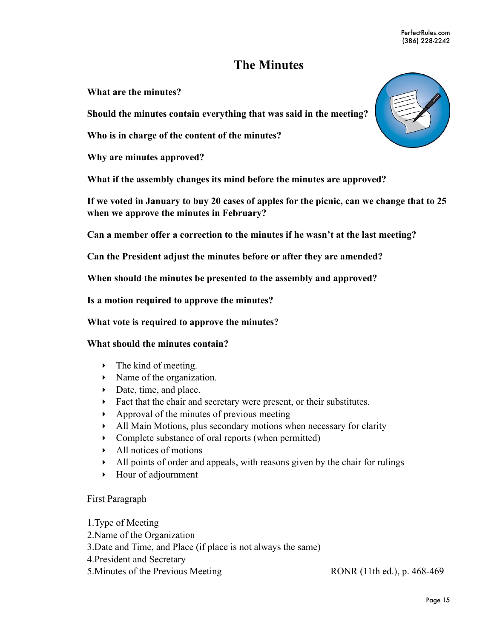# **The Minutes**

**What are the minutes?**

**Should the minutes contain everything that was said in the meeting?** 

**Who is in charge of the content of the minutes?** 

**Why are minutes approved?** 

**What if the assembly changes its mind before the minutes are approved?**

**If we voted in January to buy 20 cases of apples for the picnic, can we change that to 25 when we approve the minutes in February?** 

**Can a member offer a correction to the minutes if he wasn't at the last meeting?** 

**Can the President adjust the minutes before or after they are amended?** 

**When should the minutes be presented to the assembly and approved?** 

**Is a motion required to approve the minutes?** 

**What vote is required to approve the minutes?** 

#### **What should the minutes contain?**

- $\blacktriangleright$  The kind of meeting.
- Name of the organization.
- Date, time, and place.
- ‣ Fact that the chair and secretary were present, or their substitutes.
- $\rightarrow$  Approval of the minutes of previous meeting
- ‣ All Main Motions, plus secondary motions when necessary for clarity
- Complete substance of oral reports (when permitted)
- $\blacktriangleright$  All notices of motions
- $\blacktriangleright$  All points of order and appeals, with reasons given by the chair for rulings
- ‣ Hour of adjournment

#### First Paragraph

1.Type of Meeting 2.Name of the Organization 3.Date and Time, and Place (if place is not always the same) 4.President and Secretary 5. Minutes of the Previous Meeting RONR (11th ed.), p. 468-469

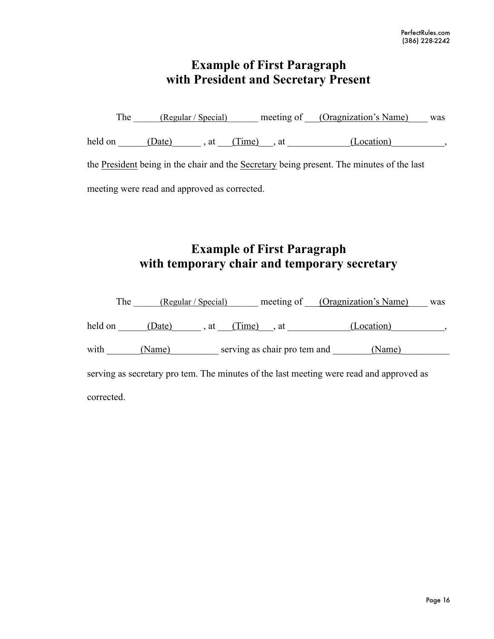# **Example of First Paragraph with President and Secretary Present**

The  $(Regular / Special)$  meeting of  $(Organization's Name)$  was held on  $\underline{\hspace{1cm}}$   $\underline{\hspace{1cm}}$   $\underline{\hspace{1cm}}$   $\overline{\hspace{1cm}}$  , at  $\underline{\hspace{1cm}}$   $(\underline{\text{Time}})$  , at  $\underline{\hspace{1cm}}$   $(\underline{\text{Location}})$ the President being in the chair and the Secretary being present. The minutes of the last meeting were read and approved as corrected.

# **Example of First Paragraph with temporary chair and temporary secretary**

|                                                                                         | The    | (Regular / Special) |                              |  | meeting of (Oragnization's Name) | was |  |  |
|-----------------------------------------------------------------------------------------|--------|---------------------|------------------------------|--|----------------------------------|-----|--|--|
| held on                                                                                 |        |                     | (Date), at (Time), at        |  | (Location)                       |     |  |  |
| with                                                                                    | (Name) |                     | serving as chair pro tem and |  | (Name)                           |     |  |  |
| serving as secretary pro tem. The minutes of the last meeting were read and approved as |        |                     |                              |  |                                  |     |  |  |
| corrected.                                                                              |        |                     |                              |  |                                  |     |  |  |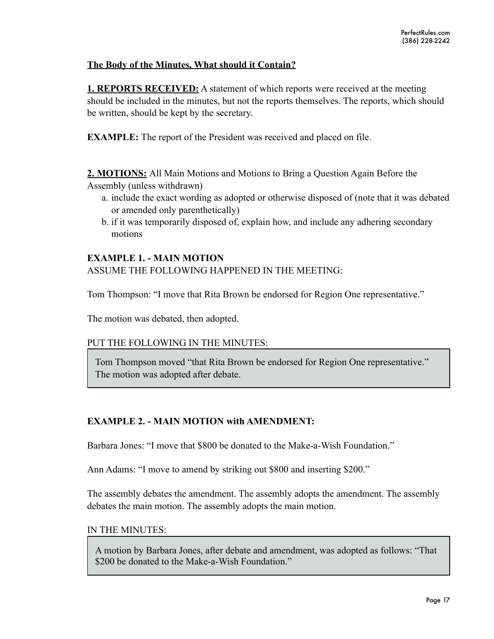#### **The Body of the Minutes, What should it Contain?**

**1. REPORTS RECEIVED:** A statement of which reports were received at the meeting should be included in the minutes, but not the reports themselves. The reports, which should be written, should be kept by the secretary.

**EXAMPLE:** The report of the President was received and placed on file.

**2. MOTIONS:** All Main Motions and Motions to Bring a Question Again Before the Assembly (unless withdrawn)

- a. include the exact wording as adopted or otherwise disposed of (note that it was debated or amended only parenthetically)
- b. if it was temporarily disposed of, explain how, and include any adhering secondary motions

#### **EXAMPLE 1. - MAIN MOTION**

ASSUME THE FOLLOWING HAPPENED IN THE MEETING:

Tom Thompson: "I move that Rita Brown be endorsed for Region One representative."

The motion was debated, then adopted.

#### PUT THE FOLLOWING IN THE MINUTES:

Tom Thompson moved "that Rita Brown be endorsed for Region One representative." The motion was adopted after debate.

#### **EXAMPLE 2. - MAIN MOTION with AMENDMENT:**

Barbara Jones: "I move that \$800 be donated to the Make-a-Wish Foundation."

Ann Adams: "I move to amend by striking out \$800 and inserting \$200."

The assembly debates the amendment. The assembly adopts the amendment. The assembly debates the main motion. The assembly adopts the main motion.

#### IN THE MINUTES:

A motion by Barbara Jones, after debate and amendment, was adopted as follows: "That \$200 be donated to the Make-a-Wish Foundation."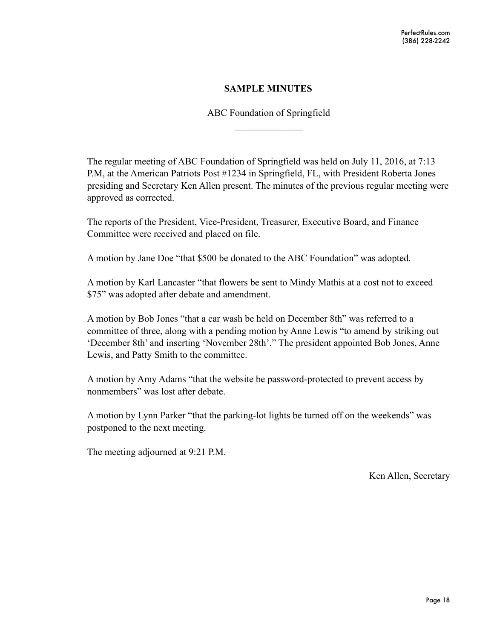#### **SAMPLE MINUTES**

ABC Foundation of Springfield  $\frac{1}{2}$ 

The regular meeting of ABC Foundation of Springfield was held on July 11, 2016, at 7:13 P.M, at the American Patriots Post #1234 in Springfield, FL, with President Roberta Jones presiding and Secretary Ken Allen present. The minutes of the previous regular meeting were approved as corrected.

The reports of the President, Vice-President, Treasurer, Executive Board, and Finance Committee were received and placed on file.

A motion by Jane Doe "that \$500 be donated to the ABC Foundation" was adopted.

A motion by Karl Lancaster "that flowers be sent to Mindy Mathis at a cost not to exceed \$75" was adopted after debate and amendment.

A motion by Bob Jones "that a car wash be held on December 8th" was referred to a committee of three, along with a pending motion by Anne Lewis "to amend by striking out 'December 8th' and inserting 'November 28th'." The president appointed Bob Jones, Anne Lewis, and Patty Smith to the committee.

A motion by Amy Adams "that the website be password-protected to prevent access by nonmembers" was lost after debate.

A motion by Lynn Parker "that the parking-lot lights be turned off on the weekends" was postponed to the next meeting.

The meeting adjourned at 9:21 P.M.

Ken Allen, Secretary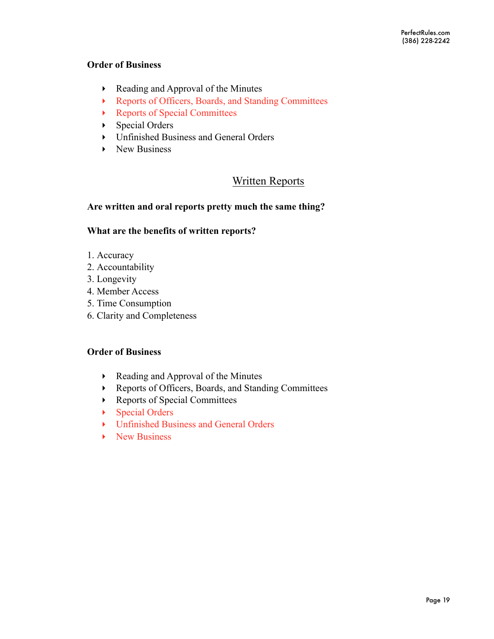#### **Order of Business**

- ‣ Reading and Approval of the Minutes
- ‣ Reports of Officers, Boards, and Standing Committees
- ‣ Reports of Special Committees
- ‣ Special Orders
- ‣ Unfinished Business and General Orders
- ▶ New Business

# Written Reports

#### **Are written and oral reports pretty much the same thing?**

#### **What are the benefits of written reports?**

- 1. Accuracy
- 2. Accountability
- 3. Longevity
- 4. Member Access
- 5. Time Consumption
- 6. Clarity and Completeness

#### **Order of Business**

- ‣ Reading and Approval of the Minutes
- ‣ Reports of Officers, Boards, and Standing Committees
- ‣ Reports of Special Committees
- ‣ Special Orders
- ‣ Unfinished Business and General Orders
- ▶ New Business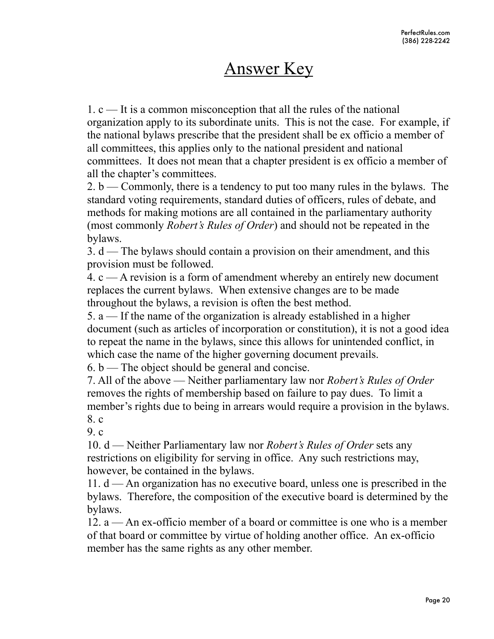# Answer Key

1. c — It is a common misconception that all the rules of the national organization apply to its subordinate units. This is not the case. For example, if the national bylaws prescribe that the president shall be ex officio a member of all committees, this applies only to the national president and national committees. It does not mean that a chapter president is ex officio a member of all the chapter's committees.

2. b — Commonly, there is a tendency to put too many rules in the bylaws. The standard voting requirements, standard duties of officers, rules of debate, and methods for making motions are all contained in the parliamentary authority (most commonly *Robert's Rules of Order*) and should not be repeated in the bylaws.

3. d — The bylaws should contain a provision on their amendment, and this provision must be followed.

4. c — A revision is a form of amendment whereby an entirely new document replaces the current bylaws. When extensive changes are to be made throughout the bylaws, a revision is often the best method.

5. a — If the name of the organization is already established in a higher document (such as articles of incorporation or constitution), it is not a good idea to repeat the name in the bylaws, since this allows for unintended conflict, in which case the name of the higher governing document prevails.

 $6. b$  — The object should be general and concise.

7. All of the above — Neither parliamentary law nor *Robert's Rules of Order*  removes the rights of membership based on failure to pay dues. To limit a member's rights due to being in arrears would require a provision in the bylaws. 8. c

 $9<sub>c</sub>$ 

10. d — Neither Parliamentary law nor *Robert's Rules of Order* sets any restrictions on eligibility for serving in office. Any such restrictions may, however, be contained in the bylaws.

11.  $d$  — An organization has no executive board, unless one is prescribed in the bylaws. Therefore, the composition of the executive board is determined by the bylaws.

12. a — An ex-officio member of a board or committee is one who is a member of that board or committee by virtue of holding another office. An ex-officio member has the same rights as any other member.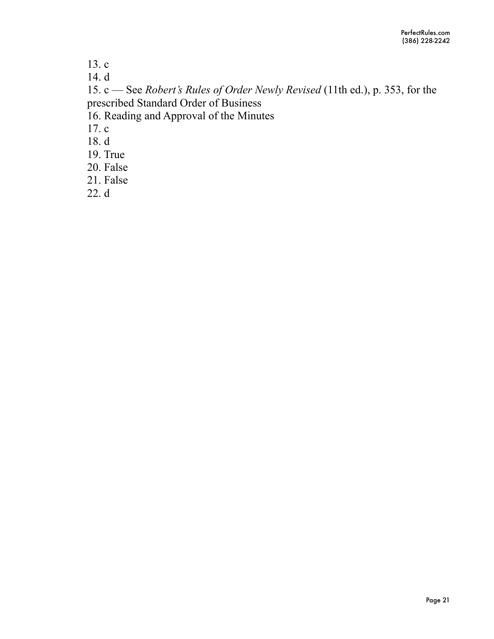13. c

14. d

15. c — See *Robert's Rules of Order Newly Revised* (11th ed.), p. 353, for the prescribed Standard Order of Business

16. Reading and Approval of the Minutes

17. c

18. d

19. True

20. False

21. False

22. d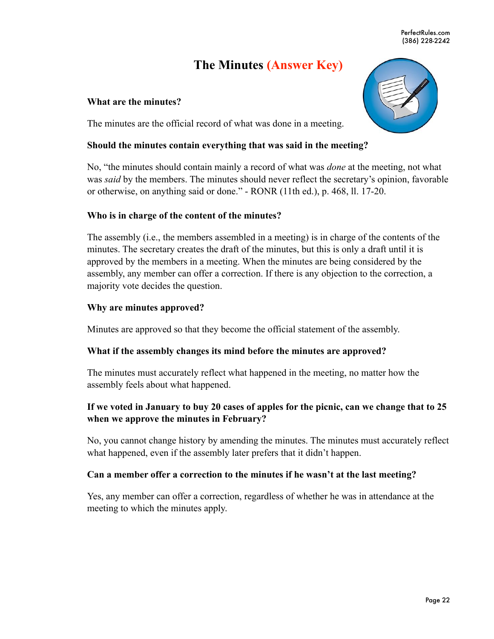PerfectRules.com (386) 228-2242

# **The Minutes (Answer Key)**

#### **What are the minutes?**

The minutes are the official record of what was done in a meeting.

#### **Should the minutes contain everything that was said in the meeting?**

No, "the minutes should contain mainly a record of what was *done* at the meeting, not what was *said* by the members. The minutes should never reflect the secretary's opinion, favorable or otherwise, on anything said or done." - RONR (11th ed.), p. 468, ll. 17-20.

#### **Who is in charge of the content of the minutes?**

The assembly (i.e., the members assembled in a meeting) is in charge of the contents of the minutes. The secretary creates the draft of the minutes, but this is only a draft until it is approved by the members in a meeting. When the minutes are being considered by the assembly, any member can offer a correction. If there is any objection to the correction, a majority vote decides the question.

#### **Why are minutes approved?**

Minutes are approved so that they become the official statement of the assembly.

#### **What if the assembly changes its mind before the minutes are approved?**

The minutes must accurately reflect what happened in the meeting, no matter how the assembly feels about what happened.

#### **If we voted in January to buy 20 cases of apples for the picnic, can we change that to 25 when we approve the minutes in February?**

No, you cannot change history by amending the minutes. The minutes must accurately reflect what happened, even if the assembly later prefers that it didn't happen.

#### **Can a member offer a correction to the minutes if he wasn't at the last meeting?**

Yes, any member can offer a correction, regardless of whether he was in attendance at the meeting to which the minutes apply.

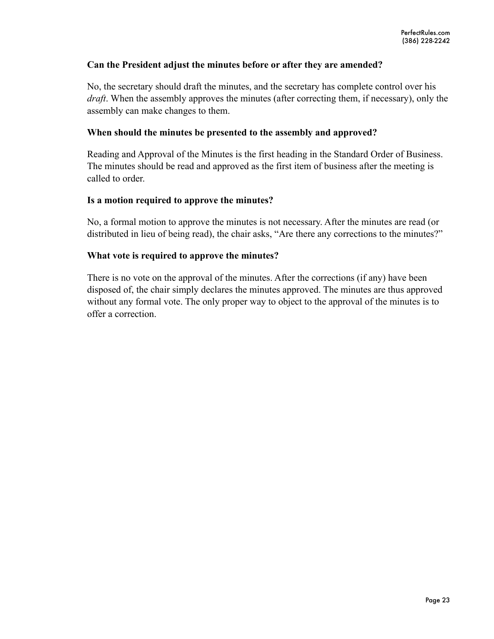#### **Can the President adjust the minutes before or after they are amended?**

No, the secretary should draft the minutes, and the secretary has complete control over his *draft*. When the assembly approves the minutes (after correcting them, if necessary), only the assembly can make changes to them.

#### **When should the minutes be presented to the assembly and approved?**

Reading and Approval of the Minutes is the first heading in the Standard Order of Business. The minutes should be read and approved as the first item of business after the meeting is called to order.

#### **Is a motion required to approve the minutes?**

No, a formal motion to approve the minutes is not necessary. After the minutes are read (or distributed in lieu of being read), the chair asks, "Are there any corrections to the minutes?"

#### **What vote is required to approve the minutes?**

There is no vote on the approval of the minutes. After the corrections (if any) have been disposed of, the chair simply declares the minutes approved. The minutes are thus approved without any formal vote. The only proper way to object to the approval of the minutes is to offer a correction.